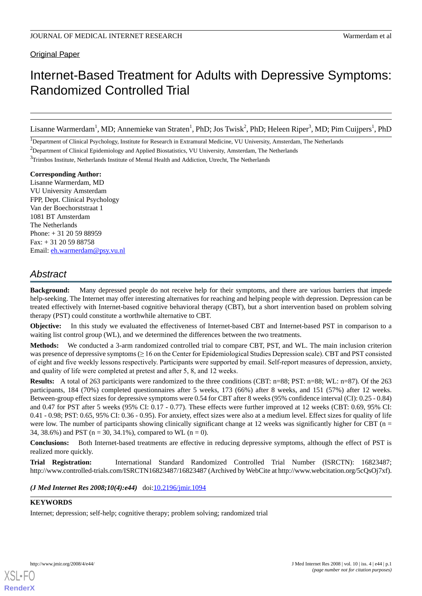Original Paper

# Internet-Based Treatment for Adults with Depressive Symptoms: Randomized Controlled Trial

Lisanne Warmerdam<sup>1</sup>, MD; Annemieke van Straten<sup>1</sup>, PhD; Jos Twisk<sup>2</sup>, PhD; Heleen Riper<sup>3</sup>, MD; Pim Cuijpers<sup>1</sup>, PhD

<sup>1</sup>Department of Clinical Psychology, Institute for Research in Extramural Medicine, VU University, Amsterdam, The Netherlands

 $3$ Trimbos Institute, Netherlands Institute of Mental Health and Addiction, Utrecht, The Netherlands

**Corresponding Author:** Lisanne Warmerdam, MD VU University Amsterdam FPP, Dept. Clinical Psychology Van der Boechorststraat 1 1081 BT Amsterdam The Netherlands Phone: + 31 20 59 88959 Fax: + 31 20 59 88758 Email: [eh.warmerdam@psy.vu.nl](mailto:eh.warmerdam@psy.vu.nl)

# *Abstract*

**Background:** Many depressed people do not receive help for their symptoms, and there are various barriers that impede help-seeking. The Internet may offer interesting alternatives for reaching and helping people with depression. Depression can be treated effectively with Internet-based cognitive behavioral therapy (CBT), but a short intervention based on problem solving therapy (PST) could constitute a worthwhile alternative to CBT.

**Objective:** In this study we evaluated the effectiveness of Internet-based CBT and Internet-based PST in comparison to a waiting list control group (WL), and we determined the differences between the two treatments.

**Methods:** We conducted a 3-arm randomized controlled trial to compare CBT, PST, and WL. The main inclusion criterion was presence of depressive symptoms (≥ 16 on the Center for Epidemiological Studies Depression scale). CBT and PST consisted of eight and five weekly lessons respectively. Participants were supported by email. Self-report measures of depression, anxiety, and quality of life were completed at pretest and after 5, 8, and 12 weeks.

**Results:** A total of 263 participants were randomized to the three conditions (CBT: n=88; PST: n=88; WL: n=87). Of the 263 participants, 184 (70%) completed questionnaires after 5 weeks, 173 (66%) after 8 weeks, and 151 (57%) after 12 weeks. Between-group effect sizes for depressive symptoms were 0.54 for CBT after 8 weeks (95% confidence interval (CI): 0.25 - 0.84) and 0.47 for PST after 5 weeks (95% CI: 0.17 - 0.77). These effects were further improved at 12 weeks (CBT: 0.69, 95% CI: 0.41 - 0.98; PST: 0.65, 95% CI: 0.36 - 0.95). For anxiety, effect sizes were also at a medium level. Effect sizes for quality of life were low. The number of participants showing clinically significant change at 12 weeks was significantly higher for CBT (n = 34, 38.6%) and PST ( $n = 30$ , 34.1%), compared to WL ( $n = 0$ ).

**Conclusions:** Both Internet-based treatments are effective in reducing depressive symptoms, although the effect of PST is realized more quickly.

**Trial Registration:** International Standard Randomized Controlled Trial Number (ISRCTN): 16823487; http://www.controlled-trials.com/ISRCTN16823487/16823487 (Archived by WebCite at http://www.webcitation.org/5cQsOj7xf).

*(J Med Internet Res 2008;10(4):e44)*  doi:[10.2196/jmir.1094](http://dx.doi.org/10.2196/jmir.1094)

### **KEYWORDS**

Internet; depression; self-help; cognitive therapy; problem solving; randomized trial

<sup>&</sup>lt;sup>2</sup>Department of Clinical Epidemiology and Applied Biostatistics, VU University, Amsterdam, The Netherlands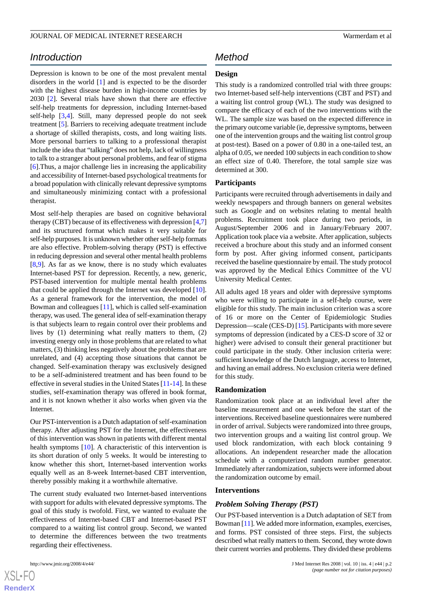# *Introduction*

Depression is known to be one of the most prevalent mental disorders in the world [[1\]](#page-8-0) and is expected to be the disorder with the highest disease burden in high-income countries by 2030 [\[2](#page-8-1)]. Several trials have shown that there are effective self-help treatments for depression, including Internet-based self-help [\[3](#page-8-2),[4\]](#page-8-3). Still, many depressed people do not seek treatment [\[5](#page-8-4)]. Barriers to receiving adequate treatment include a shortage of skilled therapists, costs, and long waiting lists. More personal barriers to talking to a professional therapist include the idea that "talking" does not help, lack of willingness to talk to a stranger about personal problems, and fear of stigma [[6\]](#page-8-5).Thus, a major challenge lies in increasing the applicability and accessibility of Internet-based psychological treatments for a broad population with clinically relevant depressive symptoms and simultaneously minimizing contact with a professional therapist.

Most self-help therapies are based on cognitive behavioral therapy (CBT) because of its effectiveness with depression [\[4](#page-8-3)[,7](#page-8-6)] and its structured format which makes it very suitable for self-help purposes. It is unknown whether other self-help formats are also effective. Problem-solving therapy (PST) is effective in reducing depression and several other mental health problems [[8](#page-8-7)[,9](#page-8-8)]. As far as we know, there is no study which evaluates Internet-based PST for depression. Recently, a new, generic, PST-based intervention for multiple mental health problems that could be applied through the Internet was developed [[10\]](#page-8-9). As a general framework for the intervention, the model of Bowman and colleagues [[11\]](#page-8-10), which is called self-examination therapy, was used. The general idea of self-examination therapy is that subjects learn to regain control over their problems and lives by (1) determining what really matters to them, (2) investing energy only in those problems that are related to what matters, (3) thinking less negatively about the problems that are unrelated, and (4) accepting those situations that cannot be changed. Self-examination therapy was exclusively designed to be a self-administered treatment and has been found to be effective in several studies in the United States [[11-](#page-8-10)[14](#page-8-11)]. In these studies, self-examination therapy was offered in book format, and it is not known whether it also works when given via the **Internet** 

Our PST-intervention is a Dutch adaptation of self-examination therapy. After adjusting PST for the Internet, the effectiveness of this intervention was shown in patients with different mental health symptoms [[10\]](#page-8-9). A characteristic of this intervention is its short duration of only 5 weeks. It would be interesting to know whether this short, Internet-based intervention works equally well as an 8-week Internet-based CBT intervention, thereby possibly making it a worthwhile alternative.

The current study evaluated two Internet-based interventions with support for adults with elevated depressive symptoms. The goal of this study is twofold. First, we wanted to evaluate the effectiveness of Internet-based CBT and Internet-based PST compared to a waiting list control group. Second, we wanted to determine the differences between the two treatments regarding their effectiveness.

# *Method*

### **Design**

This study is a randomized controlled trial with three groups: two Internet-based self-help interventions (CBT and PST) and a waiting list control group (WL). The study was designed to compare the efficacy of each of the two interventions with the WL. The sample size was based on the expected difference in the primary outcome variable (ie, depressive symptoms, between one of the intervention groups and the waiting list control group at post-test). Based on a power of 0.80 in a one-tailed test, an alpha of 0.05, we needed 100 subjects in each condition to show an effect size of 0.40. Therefore, the total sample size was determined at 300.

### **Participants**

Participants were recruited through advertisements in daily and weekly newspapers and through banners on general websites such as Google and on websites relating to mental health problems. Recruitment took place during two periods, in August/September 2006 and in January/February 2007. Application took place via a website. After application, subjects received a brochure about this study and an informed consent form by post. After giving informed consent, participants received the baseline questionnaire by email. The study protocol was approved by the Medical Ethics Committee of the VU University Medical Center.

All adults aged 18 years and older with depressive symptoms who were willing to participate in a self-help course, were eligible for this study. The main inclusion criterion was a score of 16 or more on the Center of Epidemiologic Studies Depression—scale (CES-D) [\[15](#page-8-12)]. Participants with more severe symptoms of depression (indicated by a CES-D score of 32 or higher) were advised to consult their general practitioner but could participate in the study. Other inclusion criteria were: sufficient knowledge of the Dutch language, access to Internet, and having an email address. No exclusion criteria were defined for this study.

### **Randomization**

Randomization took place at an individual level after the baseline measurement and one week before the start of the interventions. Received baseline questionnaires were numbered in order of arrival. Subjects were randomized into three groups, two intervention groups and a waiting list control group. We used block randomization, with each block containing 9 allocations. An independent researcher made the allocation schedule with a computerized random number generator. Immediately after randomization, subjects were informed about the randomization outcome by email.

### **Interventions**

#### *Problem Solving Therapy (PST)*

Our PST-based intervention is a Dutch adaptation of SET from Bowman [\[11\]](#page-8-10). We added more information, examples, exercises, and forms. PST consisted of three steps. First, the subjects described what really matters to them. Second, they wrote down their current worries and problems. They divided these problems

 $XS$  $\cdot$ FC **[RenderX](http://www.renderx.com/)**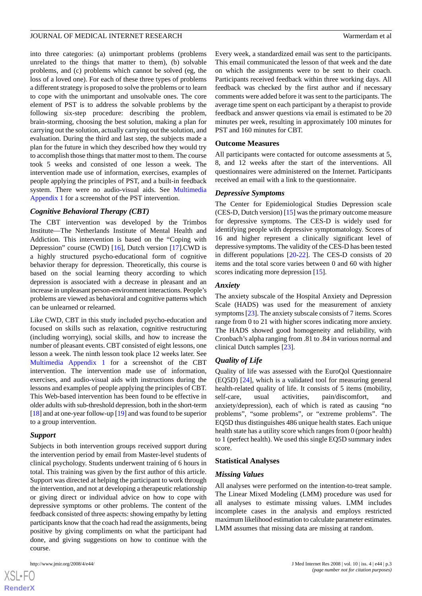into three categories: (a) unimportant problems (problems unrelated to the things that matter to them), (b) solvable problems, and (c) problems which cannot be solved (eg, the loss of a loved one). For each of these three types of problems a different strategy is proposed to solve the problems or to learn to cope with the unimportant and unsolvable ones. The core element of PST is to address the solvable problems by the following six-step procedure: describing the problem, brain-storming, choosing the best solution, making a plan for carrying out the solution, actually carrying out the solution, and evaluation. During the third and last step, the subjects made a plan for the future in which they described how they would try to accomplish those things that matter most to them. The course took 5 weeks and consisted of one lesson a week. The intervention made use of information, exercises, examples of people applying the principles of PST, and a built-in feedback system. There were no audio-visual aids. See Multimedia Appendix 1 for a screenshot of the PST intervention.

### *Cognitive Behavioral Therapy (CBT)*

The CBT intervention was developed by the Trimbos Institute—The Netherlands Institute of Mental Health and Addiction. This intervention is based on the "Coping with Depression" course (CWD) [[16\]](#page-9-0), Dutch version [[17\]](#page-9-1).CWD is a highly structured psycho-educational form of cognitive behavior therapy for depression. Theoretically, this course is based on the social learning theory according to which depression is associated with a decrease in pleasant and an increase in unpleasant person-environment interactions. People's problems are viewed as behavioral and cognitive patterns which can be unlearned or relearned.

Like CWD, CBT in this study included psycho-education and focused on skills such as relaxation, cognitive restructuring (including worrying), social skills, and how to increase the number of pleasant events. CBT consisted of eight lessons, one lesson a week. The ninth lesson took place 12 weeks later. See Multimedia Appendix 1 for a screenshot of the CBT intervention. The intervention made use of information, exercises, and audio-visual aids with instructions during the lessons and examples of people applying the principles of CBT. This Web-based intervention has been found to be effective in older adults with sub-threshold depression, both in the short-term [[18\]](#page-9-2) and at one-year follow-up [[19\]](#page-9-3) and was found to be superior to a group intervention.

#### *Support*

Subjects in both intervention groups received support during the intervention period by email from Master-level students of clinical psychology. Students underwent training of 6 hours in total. This training was given by the first author of this article. Support was directed at helping the participant to work through the intervention, and not at developing a therapeutic relationship or giving direct or individual advice on how to cope with depressive symptoms or other problems. The content of the feedback consisted of three aspects: showing empathy by letting participants know that the coach had read the assignments, being positive by giving compliments on what the participant had done, and giving suggestions on how to continue with the course.



[XSL](http://www.w3.org/Style/XSL)•FO **[RenderX](http://www.renderx.com/)** Every week, a standardized email was sent to the participants. This email communicated the lesson of that week and the date on which the assignments were to be sent to their coach. Participants received feedback within three working days. All feedback was checked by the first author and if necessary comments were added before it was sent to the participants. The average time spent on each participant by a therapist to provide feedback and answer questions via email is estimated to be 20 minutes per week, resulting in approximately 100 minutes for PST and 160 minutes for CBT.

#### **Outcome Measures**

All participants were contacted for outcome assessments at 5, 8, and 12 weeks after the start of the interventions. All questionnaires were administered on the Internet. Participants received an email with a link to the questionnaire.

#### *Depressive Symptoms*

The Center for Epidemiological Studies Depression scale (CES-D, Dutch version) [[15\]](#page-8-12) was the primary outcome measure for depressive symptoms. The CES-D is widely used for identifying people with depressive symptomatology. Scores of 16 and higher represent a clinically significant level of depressive symptoms. The validity of the CES-D has been tested in different populations [\[20](#page-9-4)-[22\]](#page-9-5). The CES-D consists of 20 items and the total score varies between 0 and 60 with higher scores indicating more depression [\[15](#page-8-12)].

#### *Anxiety*

The anxiety subscale of the Hospital Anxiety and Depression Scale (HADS) was used for the measurement of anxiety symptoms [[23](#page-9-6)]. The anxiety subscale consists of 7 items. Scores range from 0 to 21 with higher scores indicating more anxiety. The HADS showed good homogeneity and reliability, with Cronbach's alpha ranging from .81 to .84 in various normal and clinical Dutch samples [[23\]](#page-9-6).

### *Quality of Life*

Quality of life was assessed with the EuroQol Questionnaire (EQ5D) [\[24](#page-9-7)], which is a validated tool for measuring general health-related quality of life. It consists of 5 items (mobility, self-care, usual activities, pain/discomfort, and anxiety/depression), each of which is rated as causing "no problems", "some problems", or "extreme problems". The EQ5D thus distinguishes 486 unique health states. Each unique health state has a utility score which ranges from 0 (poor health) to 1 (perfect health). We used this single EQ5D summary index score.

#### **Statistical Analyses**

#### *Missing Values*

All analyses were performed on the intention-to-treat sample. The Linear Mixed Modeling (LMM) procedure was used for all analyses to estimate missing values. LMM includes incomplete cases in the analysis and employs restricted maximum likelihood estimation to calculate parameter estimates. LMM assumes that missing data are missing at random.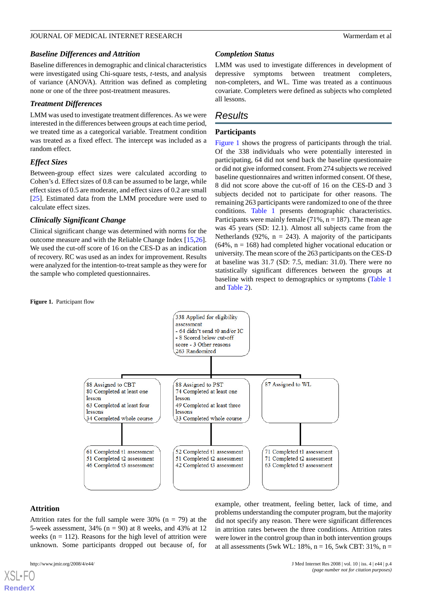### *Baseline Differences and Attrition*

Baseline differences in demographic and clinical characteristics were investigated using Chi-square tests, *t*-tests, and analysis of variance (ANOVA). Attrition was defined as completing none or one of the three post-treatment measures.

### *Treatment Differences*

LMM was used to investigate treatment differences. As we were interested in the differences between groups at each time period, we treated time as a categorical variable. Treatment condition was treated as a fixed effect. The intercept was included as a random effect.

### *Effect Sizes*

Between-group effect sizes were calculated according to Cohen's d. Effect sizes of 0.8 can be assumed to be large, while effect sizes of 0.5 are moderate, and effect sizes of 0.2 are small [[25\]](#page-9-8). Estimated data from the LMM procedure were used to calculate effect sizes.

### *Clinically Significant Change*

Clinical significant change was determined with norms for the outcome measure and with the Reliable Change Index [\[15](#page-8-12),[26\]](#page-9-9). We used the cut-off score of 16 on the CES-D as an indication of recovery. RC was used as an index for improvement. Results were analyzed for the intention-to-treat sample as they were for the sample who completed questionnaires.

### *Completion Status*

LMM was used to investigate differences in development of depressive symptoms between treatment completers, non-completers, and WL. Time was treated as a continuous covariate. Completers were defined as subjects who completed all lessons.

# *Results*

### **Participants**

Figure 1 shows the progress of participants through the trial. Of the 338 individuals who were potentially interested in participating, 64 did not send back the baseline questionnaire or did not give informed consent. From 274 subjects we received baseline questionnaires and written informed consent. Of these, 8 did not score above the cut-off of 16 on the CES-D and 3 subjects decided not to participate for other reasons. The remaining 263 participants were randomized to one of the three conditions. Table 1 presents demographic characteristics. Participants were mainly female  $(71\%, n = 187)$ . The mean age was 45 years (SD: 12.1). Almost all subjects came from the Netherlands (92%,  $n = 243$ ). A majority of the participants  $(64\%, n = 168)$  had completed higher vocational education or university. The mean score of the 263 participants on the CES-D at baseline was 31.7 (SD: 7.5, median: 31.0). There were no statistically significant differences between the groups at baseline with respect to demographics or symptoms (Table 1 and Table 2).



### **Attrition**

[XSL](http://www.w3.org/Style/XSL)•FO **[RenderX](http://www.renderx.com/)**

Attrition rates for the full sample were 30% ( $n = 79$ ) at the 5-week assessment,  $34\%$  (n = 90) at 8 weeks, and  $43\%$  at 12 weeks ( $n = 112$ ). Reasons for the high level of attrition were unknown. Some participants dropped out because of, for

example, other treatment, feeling better, lack of time, and problems understanding the computer program, but the majority did not specify any reason. There were significant differences in attrition rates between the three conditions. Attrition rates were lower in the control group than in both intervention groups at all assessments (5wk WL:  $18\%$ , n = 16, 5wk CBT: 31%, n =

#### **Figure 1.** Participant flow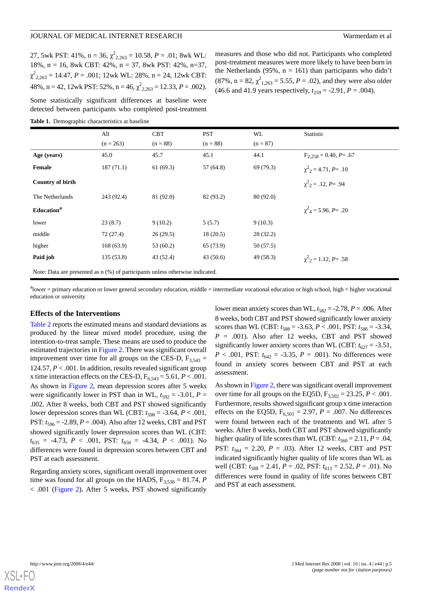27, 5wk PST: 41%,  $n = 36$ ,  $\chi^2_{2,263} = 10.58$ ,  $P = .01$ ; 8wk WL: 18%, n = 16, 8wk CBT: 42%, n = 37, 8wk PST: 42%, n=37,  $\chi^2_{2,263} = 14.47, P = .001; 12$ wk WL: 28%, n = 24, 12wk CBT: 48%, n = 42, 12wk PST: 52%, n = 46,  $\chi^2_{2,263}$  = 12.33, P = .002).

Some statistically significant differences at baseline were detected between participants who completed post-treatment

measures and those who did not. Participants who completed post-treatment measures were more likely to have been born in the Netherlands (95%,  $n = 161$ ) than participants who didn't  $(87\%, n = 82, \chi^2_{1,263} = 5.55, P = .02)$ , and they were also older (46.6 and 41.9 years respectively,  $t_{259} = -2.91$ ,  $P = .004$ ).

|                                                                                 | All<br>$(n = 263)$ | <b>CBT</b><br>$(n = 88)$ | <b>PST</b><br>$(n = 88)$ | WL<br>$(n = 87)$ | Statistic                             |  |  |
|---------------------------------------------------------------------------------|--------------------|--------------------------|--------------------------|------------------|---------------------------------------|--|--|
| Age (years)                                                                     | 45.0               | 45.7                     | 45.1                     | 44.1             | $F_{2,258} = 0.40, P = .67$           |  |  |
| Female                                                                          | 187(71.1)          | 61(69.3)                 | 57 (64.8)                | 69 (79.3)        | $\chi^2$ <sub>2</sub> = 4.71, P = .10 |  |  |
| Country of birth                                                                |                    |                          |                          |                  | $\chi^2$ <sub>2</sub> = .12, P = .94  |  |  |
| The Netherlands                                                                 | 243 (92.4)         | 81 (92.0)                | 82 (93.2)                | 80 (92.0)        |                                       |  |  |
| Education <sup>a</sup>                                                          |                    |                          |                          |                  | $\chi^2_{A} = 5.96, P = .20$          |  |  |
| lower                                                                           | 23(8.7)            | 9(10.2)                  | 5(5.7)                   | 9(10.3)          |                                       |  |  |
| middle                                                                          | 72 (27.4)          | 26(29.5)                 | 18(20.5)                 | 28 (32.2)        |                                       |  |  |
| higher                                                                          | 168(63.9)          | 53(60.2)                 | 65 (73.9)                | 50 (57.5)        |                                       |  |  |
| Paid job                                                                        | 135(53.8)          | 43 (52.4)                | 43(50.6)                 | 49 (58.3)        | $\chi^2$ <sub>2</sub> = 1.12, P = .58 |  |  |
| Note: Data are presented as $n$ (%) of participants unless otherwise indicated. |                    |                          |                          |                  |                                       |  |  |

 $a<sup>a</sup>$ lower = primary education or lower general secondary education, middle = intermediate vocational education or high school, high = higher vocational

education or university

### **Effects of the Interventions**

Table 2 reports the estimated means and standard deviations as produced by the linear mixed model procedure, using the intention-to-treat sample. These means are used to produce the estimated trajectories in Figure 2. There was significant overall improvement over time for all groups on the CES-D,  $F_{3,543}$  = 124.57, *P* < .001. In addition, results revealed significant group x time interaction effects on the CES-D,  $F_{6,543} = 5.61, P < .001$ . As shown in Figure 2, mean depression scores after 5 weeks were significantly lower in PST than in WL,  $t_{592} = -3.01$ ,  $P =$ .002. After 8 weeks, both CBT and PST showed significantly lower depression scores than WL (CBT:  $t_{598} = -3.64$ ,  $P < .001$ , PST:  $t_{596} = -2.89$ ,  $P = .004$ ). Also after 12 weeks, CBT and PST showed significantly lower depression scores than WL (CBT:  $t_{635}$  = -4.73, *P* < .001, PST:  $t_{650}$  = -4.34, *P* < .001). No differences were found in depression scores between CBT and PST at each assessment.

Regarding anxiety scores, significant overall improvement over time was found for all groups on the HADS,  $F_{3,538} = 81.74$ , *P* < .001 (Figure 2). After 5 weeks, PST showed significantly lower mean anxiety scores than WL,  $t_{582} = -2.78$ ,  $P = .006$ . After 8 weeks, both CBT and PST showed significantly lower anxiety scores than WL (CBT:  $t_{588} = -3.63$ ,  $P < .001$ , PST:  $t_{586} = -3.34$ ,  $P = .001$ ). Also after 12 weeks, CBT and PST showed significantly lower anxiety scores than WL (CBT:  $t_{627} = -3.51$ , *P* < .001, PST:  $t_{642}$  = -3.35, *P* = .001). No differences were found in anxiety scores between CBT and PST at each assessment.

As shown in Figure 2, there was significant overall improvement over time for all groups on the EQ5D,  $F_{3,502} = 23.25$ ,  $P < .001$ . Furthermore, results showed significant group x time interaction effects on the EQ5D,  $F_{6,501} = 2.97$ ,  $P = .007$ . No differences were found between each of the treatments and WL after 5 weeks. After 8 weeks, both CBT and PST showed significantly higher quality of life scores than WL (CBT:  $t_{560} = 2.11$ ,  $P = .04$ , PST:  $t_{564} = 2.20$ ,  $P = .03$ ). After 12 weeks, CBT and PST indicated significantly higher quality of life scores than WL as well (CBT:  $t_{588} = 2.41$ ,  $P = .02$ , PST:  $t_{613} = 2.52$ ,  $P = .01$ ). No differences were found in quality of life scores between CBT and PST at each assessment.

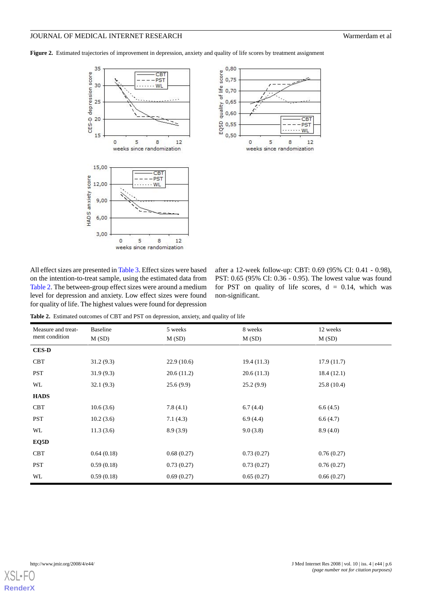Figure 2. Estimated trajectories of improvement in depression, anxiety and quality of life scores by treatment assignment





All effect sizes are presented in Table 3. Effect sizes were based on the intention-to-treat sample, using the estimated data from Table 2. The between-group effect sizes were around a medium level for depression and anxiety. Low effect sizes were found for quality of life. The highest values were found for depression

after a 12-week follow-up: CBT: 0.69 (95% CI: 0.41 - 0.98), PST: 0.65 (95% CI: 0.36 - 0.95). The lowest value was found for PST on quality of life scores,  $d = 0.14$ , which was non-significant.

**Table 2.** Estimated outcomes of CBT and PST on depression, anxiety, and quality of life

| Measure and treat- | <b>Baseline</b> | 5 weeks    | 8 weeks    | 12 weeks<br>M(SD) |  |  |  |  |
|--------------------|-----------------|------------|------------|-------------------|--|--|--|--|
| ment condition     | M(SD)           | M(SD)      | M(SD)      |                   |  |  |  |  |
| <b>CES-D</b>       |                 |            |            |                   |  |  |  |  |
| <b>CBT</b>         | 31.2(9.3)       | 22.9(10.6) | 19.4(11.3) | 17.9(11.7)        |  |  |  |  |
| <b>PST</b>         | 31.9(9.3)       | 20.6(11.2) | 20.6(11.3) | 18.4(12.1)        |  |  |  |  |
| WL                 | 32.1(9.3)       | 25.6(9.9)  | 25.2(9.9)  | 25.8(10.4)        |  |  |  |  |
| <b>HADS</b>        |                 |            |            |                   |  |  |  |  |
| <b>CBT</b>         | 10.6(3.6)       | 7.8(4.1)   | 6.7(4.4)   | 6.6(4.5)          |  |  |  |  |
| PST                | 10.2(3.6)       | 7.1(4.3)   | 6.9(4.4)   | 6.6(4.7)          |  |  |  |  |
| WL                 | 11.3(3.6)       | 8.9(3.9)   | 9.0(3.8)   | 8.9(4.0)          |  |  |  |  |
| EQ5D               |                 |            |            |                   |  |  |  |  |
| <b>CBT</b>         | 0.64(0.18)      | 0.68(0.27) | 0.73(0.27) | 0.76(0.27)        |  |  |  |  |
| <b>PST</b>         | 0.59(0.18)      | 0.73(0.27) | 0.73(0.27) | 0.76(0.27)        |  |  |  |  |
| WL                 | 0.59(0.18)      | 0.69(0.27) | 0.65(0.27) | 0.66(0.27)        |  |  |  |  |

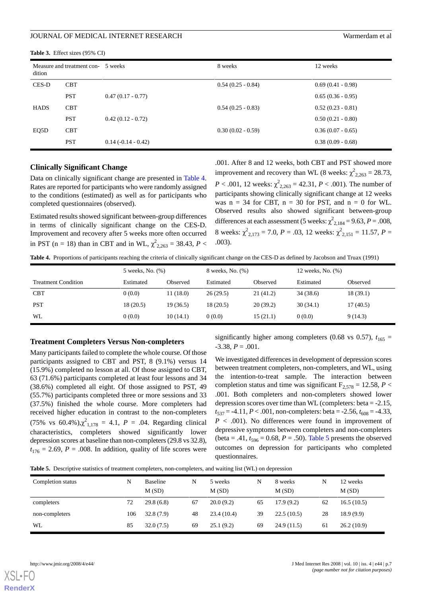| dition      | Measure and treatment con- 5 weeks |                     | 8 weeks             | 12 weeks            |  |  |  |
|-------------|------------------------------------|---------------------|---------------------|---------------------|--|--|--|
| CES-D       | <b>CBT</b>                         |                     | $0.54(0.25 - 0.84)$ | $0.69(0.41 - 0.98)$ |  |  |  |
|             | <b>PST</b>                         | $0.47(0.17 - 0.77)$ |                     | $0.65(0.36 - 0.95)$ |  |  |  |
| <b>HADS</b> | <b>CBT</b>                         |                     | $0.54(0.25 - 0.83)$ | $0.52(0.23 - 0.81)$ |  |  |  |
|             | <b>PST</b>                         | $0.42(0.12 - 0.72)$ |                     | $0.50(0.21 - 0.80)$ |  |  |  |
| EQ5D        | <b>CBT</b>                         |                     | $0.30(0.02 - 0.59)$ | $0.36(0.07 - 0.65)$ |  |  |  |
|             | <b>PST</b>                         | $0.14(-0.14-0.42)$  |                     | $0.38(0.09 - 0.68)$ |  |  |  |

**Table 3.** Effect sizes (95% CI)

### **Clinically Significant Change**

Data on clinically significant change are presented in Table 4. Rates are reported for participants who were randomly assigned to the conditions (estimated) as well as for participants who completed questionnaires (observed).

Estimated results showed significant between-group differences in terms of clinically significant change on the CES-D. Improvement and recovery after 5 weeks more often occurred in PST (n = 18) than in CBT and in WL,  $\chi^2_{2,263} = 38.43, P <$  .001. After 8 and 12 weeks, both CBT and PST showed more improvement and recovery than WL (8 weeks:  $\chi^2_{2,263} = 28.73$ , *P* < .001, 12 weeks:  $\chi^2_{2,263} = 42.31$ , *P* < .001). The number of participants showing clinically significant change at 12 weeks was  $n = 34$  for CBT,  $n = 30$  for PST, and  $n = 0$  for WL. Observed results also showed significant between-group differences at each assessment (5 weeks:  $\chi^2_{2,184} = 9.63, P = .008$ , 8 weeks:  $\chi^2_{2,173} = 7.0$ , *P* = .03, 12 weeks:  $\chi^2_{2,151} = 11.57$ , *P* = .003).

**Table 4.** Proportions of participants reaching the criteria of clinically significant change on the CES-D as defined by Jacobson and Truax (1991)

|                            | 5 weeks, No. (%) |          | 8 weeks, No. (%) |          | 12 weeks, No. (%) |          |  |
|----------------------------|------------------|----------|------------------|----------|-------------------|----------|--|
| <b>Treatment Condition</b> | Estimated        | Observed | Estimated        | Observed | Estimated         | Observed |  |
| <b>CBT</b>                 | 0(0.0)           | 11(18.0) | 26(29.5)         | 21(41.2) | 34 (38.6)         | 18(39.1) |  |
| <b>PST</b>                 | 18(20.5)         | 19(36.5) | 18(20.5)         | 20(39.2) | 30(34.1)          | 17(40.5) |  |
| WL                         | 0(0.0)           | 10(14.1) | 0(0.0)           | 15(21.1) | 0(0.0)            | 9(14.3)  |  |

#### **Treatment Completers Versus Non-completers**

Many participants failed to complete the whole course. Of those participants assigned to CBT and PST, 8 (9.1%) versus 14 (15.9%) completed no lesson at all. Of those assigned to CBT, 63 (71.6%) participants completed at least four lessons and 34 (38.6%) completed all eight. Of those assigned to PST, 49 (55.7%) participants completed three or more sessions and 33 (37.5%) finished the whole course. More completers had received higher education in contrast to the non-completers (75% vs 60.4%), $\chi^2_{1,178} = 4.1$ ,  $P = .04$ . Regarding clinical characteristics, completers showed significantly lower depression scores at baseline than non-completers (29.8 vs 32.8),  $t_{176} = 2.69$ ,  $P = .008$ . In addition, quality of life scores were significantly higher among completers (0.68 vs 0.57),  $t_{165}$  =  $-3.38, P = .001.$ 

We investigated differences in development of depression scores between treatment completers, non-completers, and WL, using the intention-to-treat sample. The interaction between completion status and time was significant  $F_{2,578} = 12.58$ ,  $P <$ .001. Both completers and non-completers showed lower depression scores over time than WL (completers: beta = -2.15,  $t_{537} = -4.11, P < .001,$  non-completers: beta = -2.56,  $t_{608} = -4.33$ ,  $P < .001$ ). No differences were found in improvement of depressive symptoms between completers and non-completers (beta = .41,  $t_{596}$  = 0.68, *P* = .50). Table 5 presents the observed outcomes on depression for participants who completed questionnaires.

**Table 5.** Descriptive statistics of treatment completers, non-completers, and waiting list (WL) on depression

| Completion status | N   | <b>Baseline</b> | N  | 5 weeks    | N  | 8 weeks    | N  | 12 weeks   |
|-------------------|-----|-----------------|----|------------|----|------------|----|------------|
|                   |     | M(SD)           |    | M(SD)      |    | M(SD)      |    | M(SD)      |
| completers        | 72  | 29.8(6.8)       | 67 | 20.0(9.2)  | 65 | 17.9(9.2)  | 62 | 16.5(10.5) |
| non-completers    | 106 | 32.8(7.9)       | 48 | 23.4(10.4) | 39 | 22.5(10.5) | 28 | 18.9(9.9)  |
| WL                | 85  | 32.0(7.5)       | 69 | 25.1(9.2)  | 69 | 24.9(11.5) | 61 | 26.2(10.9) |

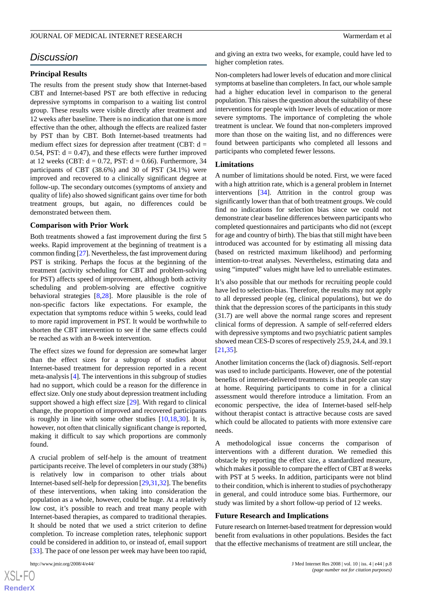## *Discussion*

### **Principal Results**

The results from the present study show that Internet-based CBT and Internet-based PST are both effective in reducing depressive symptoms in comparison to a waiting list control group. These results were visible directly after treatment and 12 weeks after baseline. There is no indication that one is more effective than the other, although the effects are realized faster by PST than by CBT. Both Internet-based treatments had medium effect sizes for depression after treatment (CBT:  $d =$ 0.54, PST:  $d = 0.47$ ), and these effects were further improved at 12 weeks (CBT:  $d = 0.72$ , PST:  $d = 0.66$ ). Furthermore, 34 participants of CBT (38.6%) and 30 of PST (34.1%) were improved and recovered to a clinically significant degree at follow-up. The secondary outcomes (symptoms of anxiety and quality of life) also showed significant gains over time for both treatment groups, but again, no differences could be demonstrated between them.

#### **Comparison with Prior Work**

Both treatments showed a fast improvement during the first 5 weeks. Rapid improvement at the beginning of treatment is a common finding [[27](#page-9-10)]. Nevertheless, the fast improvement during PST is striking. Perhaps the focus at the beginning of the treatment (activity scheduling for CBT and problem-solving for PST) affects speed of improvement, although both activity scheduling and problem-solving are effective cognitive behavioral strategies [\[8](#page-8-7),[28\]](#page-9-11). More plausible is the role of non-specific factors like expectations. For example, the expectation that symptoms reduce within 5 weeks, could lead to more rapid improvement in PST. It would be worthwhile to shorten the CBT intervention to see if the same effects could be reached as with an 8-week intervention.

The effect sizes we found for depression are somewhat larger than the effect sizes for a subgroup of studies about Internet-based treatment for depression reported in a recent meta-analysis [[4\]](#page-8-3). The interventions in this subgroup of studies had no support, which could be a reason for the difference in effect size. Only one study about depression treatment including support showed a high effect size [[29\]](#page-9-12). With regard to clinical change, the proportion of improved and recovered participants is roughly in line with some other studies  $[10,18,30]$  $[10,18,30]$  $[10,18,30]$  $[10,18,30]$  $[10,18,30]$ . It is, however, not often that clinically significant change is reported, making it difficult to say which proportions are commonly found.

A crucial problem of self-help is the amount of treatment participants receive. The level of completers in our study (38%) is relatively low in comparison to other trials about Internet-based self-help for depression [\[29](#page-9-12)[,31](#page-9-14)[,32](#page-9-15)]. The benefits of these interventions, when taking into consideration the population as a whole, however, could be huge. At a relatively low cost, it's possible to reach and treat many people with Internet-based therapies, as compared to traditional therapies. It should be noted that we used a strict criterion to define completion. To increase completion rates, telephonic support could be considered in addition to, or instead of, email support [[33\]](#page-9-16). The pace of one lesson per week may have been too rapid,

and giving an extra two weeks, for example, could have led to higher completion rates.

Non-completers had lower levels of education and more clinical symptoms at baseline than completers. In fact, our whole sample had a higher education level in comparison to the general population. This raises the question about the suitability of these interventions for people with lower levels of education or more severe symptoms. The importance of completing the whole treatment is unclear. We found that non-completers improved more than those on the waiting list, and no differences were found between participants who completed all lessons and participants who completed fewer lessons.

#### **Limitations**

A number of limitations should be noted. First, we were faced with a high attrition rate, which is a general problem in Internet interventions [\[34](#page-9-17)]. Attrition in the control group was significantly lower than that of both treatment groups. We could find no indications for selection bias since we could not demonstrate clear baseline differences between participants who completed questionnaires and participants who did not (except for age and country of birth). The bias that still might have been introduced was accounted for by estimating all missing data (based on restricted maximum likelihood) and performing intention-to-treat analyses. Nevertheless, estimating data and using "imputed" values might have led to unreliable estimates.

It's also possible that our methods for recruiting people could have led to selection-bias. Therefore, the results may not apply to all depressed people (eg, clinical populations), but we do think that the depression scores of the participants in this study (31.7) are well above the normal range scores and represent clinical forms of depression. A sample of self-referred elders with depressive symptoms and two psychiatric patient samples showed mean CES-D scores of respectively 25.9, 24.4, and 39.1 [[21,](#page-9-18)[35\]](#page-9-19).

Another limitation concerns the (lack of) diagnosis. Self-report was used to include participants. However, one of the potential benefits of internet-delivered treatments is that people can stay at home. Requiring participants to come in for a clinical assessment would therefore introduce a limitation. From an economic perspective, the idea of Internet-based self-help without therapist contact is attractive because costs are saved which could be allocated to patients with more extensive care needs.

A methodological issue concerns the comparison of interventions with a different duration. We remedied this obstacle by reporting the effect size, a standardized measure, which makes it possible to compare the effect of CBT at 8 weeks with PST at 5 weeks. In addition, participants were not blind to their condition, which is inherent to studies of psychotherapy in general, and could introduce some bias. Furthermore, our study was limited by a short follow-up period of 12 weeks.

#### **Future Research and Implications**

Future research on Internet-based treatment for depression would benefit from evaluations in other populations. Besides the fact that the effective mechanisms of treatment are still unclear, the

[XSL](http://www.w3.org/Style/XSL)•FO **[RenderX](http://www.renderx.com/)**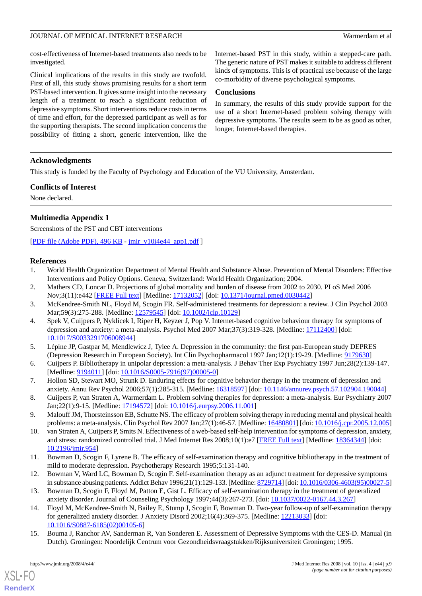cost-effectiveness of Internet-based treatments also needs to be investigated.

Clinical implications of the results in this study are twofold. First of all, this study shows promising results for a short term PST-based intervention. It gives some insight into the necessary length of a treatment to reach a significant reduction of depressive symptoms. Short interventions reduce costs in terms of time and effort, for the depressed participant as well as for the supporting therapists. The second implication concerns the possibility of fitting a short, generic intervention, like the Internet-based PST in this study, within a stepped-care path. The generic nature of PST makes it suitable to address different kinds of symptoms. This is of practical use because of the large co-morbidity of diverse psychological symptoms.

#### **Conclusions**

In summary, the results of this study provide support for the use of a short Internet-based problem solving therapy with depressive symptoms. The results seem to be as good as other, longer, Internet-based therapies.

### **Acknowledgments**

This study is funded by the Faculty of Psychology and Education of the VU University, Amsterdam.

#### **Conflicts of Interest**

None declared.

### **Multimedia Appendix 1**

Screenshots of the PST and CBT interventions

<span id="page-8-0"></span>[[PDF file \(Adobe PDF\), 496 KB](http://www.jmir.org/article/downloadSuppFile/1094/708) - [jmir\\_v10i4e44\\_app1.pdf](http://www.jmir.org/article/downloadSuppFile/1094/708) ]

### <span id="page-8-1"></span>**References**

- <span id="page-8-2"></span>1. World Health Organization Department of Mental Health and Substance Abuse. Prevention of Mental Disorders: Effective Interventions and Policy Options. Geneva, Switzerland: World Health Organization; 2004.
- <span id="page-8-3"></span>2. Mathers CD, Loncar D. Projections of global mortality and burden of disease from 2002 to 2030. PLoS Med 2006 Nov;3(11):e442 [\[FREE Full text](http://medicine.plosjournals.org/perlserv/?request=get-document&doi=10.1371/journal.pmed.0030442)] [Medline: [17132052](http://www.ncbi.nlm.nih.gov/entrez/query.fcgi?cmd=Retrieve&db=PubMed&list_uids=17132052&dopt=Abstract)] [doi: [10.1371/journal.pmed.0030442](http://dx.doi.org/10.1371/journal.pmed.0030442)]
- <span id="page-8-4"></span>3. McKendree-Smith NL, Floyd M, Scogin FR. Self-administered treatments for depression: a review. J Clin Psychol 2003 Mar;59(3):275-288. [Medline: [12579545\]](http://www.ncbi.nlm.nih.gov/entrez/query.fcgi?cmd=Retrieve&db=PubMed&list_uids=12579545&dopt=Abstract) [doi: [10.1002/jclp.10129\]](http://dx.doi.org/10.1002/jclp.10129)
- <span id="page-8-5"></span>4. Spek V, Cuijpers P, Nyklícek I, Riper H, Keyzer J, Pop V. Internet-based cognitive behaviour therapy for symptoms of depression and anxiety: a meta-analysis. Psychol Med 2007 Mar;37(3):319-328. [Medline: [17112400](http://www.ncbi.nlm.nih.gov/entrez/query.fcgi?cmd=Retrieve&db=PubMed&list_uids=17112400&dopt=Abstract)] [doi: [10.1017/S0033291706008944](http://dx.doi.org/10.1017/S0033291706008944)]
- <span id="page-8-6"></span>5. Lépine JP, Gastpar M, Mendlewicz J, Tylee A. Depression in the community: the first pan-European study DEPRES (Depression Research in European Society). Int Clin Psychopharmacol 1997 Jan;12(1):19-29. [Medline: [9179630](http://www.ncbi.nlm.nih.gov/entrez/query.fcgi?cmd=Retrieve&db=PubMed&list_uids=9179630&dopt=Abstract)]
- <span id="page-8-7"></span>6. Cuijpers P. Bibliotherapy in unipolar depression: a meta-analysis. J Behav Ther Exp Psychiatry 1997 Jun;28(2):139-147. [Medline: [9194011\]](http://www.ncbi.nlm.nih.gov/entrez/query.fcgi?cmd=Retrieve&db=PubMed&list_uids=9194011&dopt=Abstract) [doi: [10.1016/S0005-7916\(97\)00005-0\]](http://dx.doi.org/10.1016/S0005-7916(97)00005-0)
- <span id="page-8-9"></span><span id="page-8-8"></span>7. Hollon SD, Stewart MO, Strunk D. Enduring effects for cognitive behavior therapy in the treatment of depression and anxiety. Annu Rev Psychol 2006;57(1):285-315. [Medline: [16318597](http://www.ncbi.nlm.nih.gov/entrez/query.fcgi?cmd=Retrieve&db=PubMed&list_uids=16318597&dopt=Abstract)] [doi: [10.1146/annurev.psych.57.102904.190044](http://dx.doi.org/10.1146/annurev.psych.57.102904.190044)]
- 8. Cuijpers P, van Straten A, Warmerdam L. Problem solving therapies for depression: a meta-analysis. Eur Psychiatry 2007 Jan;22(1):9-15. [Medline: [17194572](http://www.ncbi.nlm.nih.gov/entrez/query.fcgi?cmd=Retrieve&db=PubMed&list_uids=17194572&dopt=Abstract)] [doi: [10.1016/j.eurpsy.2006.11.001\]](http://dx.doi.org/10.1016/j.eurpsy.2006.11.001)
- <span id="page-8-10"></span>9. Malouff JM, Thorsteinsson EB, Schutte NS. The efficacy of problem solving therapy in reducing mental and physical health problems: a meta-analysis. Clin Psychol Rev 2007 Jan;27(1):46-57. [Medline: [16480801\]](http://www.ncbi.nlm.nih.gov/entrez/query.fcgi?cmd=Retrieve&db=PubMed&list_uids=16480801&dopt=Abstract) [doi: [10.1016/j.cpr.2005.12.005](http://dx.doi.org/10.1016/j.cpr.2005.12.005)]
- 10. van Straten A, Cuijpers P, Smits N. Effectiveness of a web-based self-help intervention for symptoms of depression, anxiety, and stress: randomized controlled trial. J Med Internet Res 2008;10(1):e7 [[FREE Full text](http://www.jmir.org/2008/1/e7/)] [Medline: [18364344\]](http://www.ncbi.nlm.nih.gov/entrez/query.fcgi?cmd=Retrieve&db=PubMed&list_uids=18364344&dopt=Abstract) [doi: [10.2196/jmir.954](http://dx.doi.org/10.2196/jmir.954)]
- <span id="page-8-11"></span>11. Bowman D, Scogin F, Lyrene B. The efficacy of self-examination therapy and cognitive bibliotherapy in the treatment of mild to moderate depression. Psychotherapy Research 1995;5:131-140.
- <span id="page-8-12"></span>12. Bowman V, Ward LC, Bowman D, Scogin F. Self-examination therapy as an adjunct treatment for depressive symptoms in substance abusing patients. Addict Behav 1996;21(1):129-133. [Medline: [8729714\]](http://www.ncbi.nlm.nih.gov/entrez/query.fcgi?cmd=Retrieve&db=PubMed&list_uids=8729714&dopt=Abstract) [doi: [10.1016/0306-4603\(95\)00027-5\]](http://dx.doi.org/10.1016/0306-4603(95)00027-5)
- 13. Bowman D, Scogin F, Floyd M, Patton E, Gist L. Efficacy of self-examination therapy in the treatment of generalized anxiety disorder. Journal of Counseling Psychology 1997;44(3):267-273. [doi: [10.1037/0022-0167.44.3.267\]](http://dx.doi.org/10.1037/0022-0167.44.3.267)
- 14. Floyd M, McKendree-Smith N, Bailey E, Stump J, Scogin F, Bowman D. Two-year follow-up of self-examination therapy for generalized anxiety disorder. J Anxiety Disord 2002;16(4):369-375. [Medline: [12213033\]](http://www.ncbi.nlm.nih.gov/entrez/query.fcgi?cmd=Retrieve&db=PubMed&list_uids=12213033&dopt=Abstract) [doi: [10.1016/S0887-6185\(02\)00105-6\]](http://dx.doi.org/10.1016/S0887-6185(02)00105-6)
- 15. Bouma J, Ranchor AV, Sanderman R, Van Sonderen E. Assessment of Depressive Symptoms with the CES-D. Manual (in Dutch). Groningen: Noordelijk Centrum voor Gezondheidsvraagstukken/Rijksuniversiteit Groningen; 1995.

[XSL](http://www.w3.org/Style/XSL)•FO **[RenderX](http://www.renderx.com/)**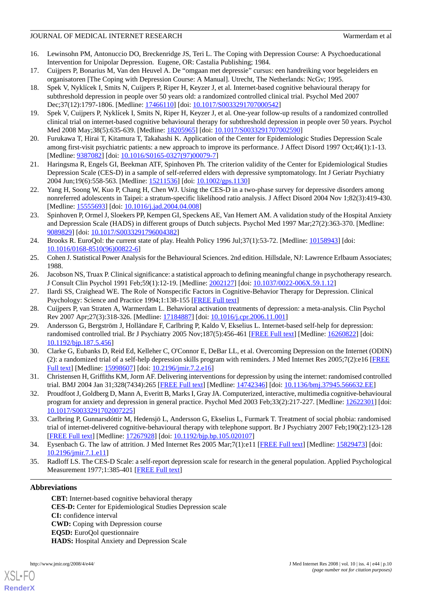- <span id="page-9-0"></span>16. Lewinsohn PM, Antonuccio DO, Breckenridge JS, Teri L. The Coping with Depression Course: A Psychoeducational Intervention for Unipolar Depression. Eugene, OR: Castalia Publishing; 1984.
- <span id="page-9-1"></span>17. Cuijpers P, Bonarius M, Van den Heuvel A. De "omgaan met depressie" cursus: een handreiking voor begeleiders en organisatoren [The Coping with Depression Course: A Manual]. Utrecht, The Netherlands: NcGv; 1995.
- <span id="page-9-2"></span>18. Spek V, Nyklícek I, Smits N, Cuijpers P, Riper H, Keyzer J, et al. Internet-based cognitive behavioural therapy for subthreshold depression in people over 50 years old: a randomized controlled clinical trial. Psychol Med 2007 Dec;37(12):1797-1806. [Medline: [17466110](http://www.ncbi.nlm.nih.gov/entrez/query.fcgi?cmd=Retrieve&db=PubMed&list_uids=17466110&dopt=Abstract)] [doi: [10.1017/S0033291707000542](http://dx.doi.org/10.1017/S0033291707000542)]
- <span id="page-9-4"></span><span id="page-9-3"></span>19. Spek V, Cuijpers P, Nyklícek I, Smits N, Riper H, Keyzer J, et al. One-year follow-up results of a randomized controlled clinical trial on internet-based cognitive behavioural therapy for subthreshold depression in people over 50 years. Psychol Med 2008 May;38(5):635-639. [Medline: [18205965\]](http://www.ncbi.nlm.nih.gov/entrez/query.fcgi?cmd=Retrieve&db=PubMed&list_uids=18205965&dopt=Abstract) [doi: [10.1017/S0033291707002590\]](http://dx.doi.org/10.1017/S0033291707002590)
- <span id="page-9-18"></span>20. Furukawa T, Hirai T, Kitamura T, Takahashi K. Application of the Center for Epidemiologic Studies Depression Scale among first-visit psychiatric patients: a new approach to improve its performance. J Affect Disord 1997 Oct;46(1):1-13. [Medline: [9387082\]](http://www.ncbi.nlm.nih.gov/entrez/query.fcgi?cmd=Retrieve&db=PubMed&list_uids=9387082&dopt=Abstract) [doi: [10.1016/S0165-0327\(97\)00079-7\]](http://dx.doi.org/10.1016/S0165-0327(97)00079-7)
- <span id="page-9-5"></span>21. Haringsma R, Engels GI, Beekman ATF, Spinhoven Ph. The criterion validity of the Center for Epidemiological Studies Depression Scale (CES-D) in a sample of self-referred elders with depressive symptomatology. Int J Geriatr Psychiatry 2004 Jun;19(6):558-563. [Medline: [15211536](http://www.ncbi.nlm.nih.gov/entrez/query.fcgi?cmd=Retrieve&db=PubMed&list_uids=15211536&dopt=Abstract)] [doi: [10.1002/gps.1130](http://dx.doi.org/10.1002/gps.1130)]
- <span id="page-9-6"></span>22. Yang H, Soong W, Kuo P, Chang H, Chen WJ. Using the CES-D in a two-phase survey for depressive disorders among nonreferred adolescents in Taipei: a stratum-specific likelihood ratio analysis. J Affect Disord 2004 Nov 1;82(3):419-430. [Medline: [15555693](http://www.ncbi.nlm.nih.gov/entrez/query.fcgi?cmd=Retrieve&db=PubMed&list_uids=15555693&dopt=Abstract)] [doi: [10.1016/j.jad.2004.04.008\]](http://dx.doi.org/10.1016/j.jad.2004.04.008)
- <span id="page-9-7"></span>23. Spinhoven P, Ormel J, Sloekers PP, Kempen GI, Speckens AE, Van Hemert AM. A validation study of the Hospital Anxiety and Depression Scale (HADS) in different groups of Dutch subjects. Psychol Med 1997 Mar;27(2):363-370. [Medline: [9089829\]](http://www.ncbi.nlm.nih.gov/entrez/query.fcgi?cmd=Retrieve&db=PubMed&list_uids=9089829&dopt=Abstract) [doi: [10.1017/S0033291796004382\]](http://dx.doi.org/10.1017/S0033291796004382)
- <span id="page-9-9"></span><span id="page-9-8"></span>24. Brooks R. EuroQol: the current state of play. Health Policy 1996 Jul;37(1):53-72. [Medline: [10158943\]](http://www.ncbi.nlm.nih.gov/entrez/query.fcgi?cmd=Retrieve&db=PubMed&list_uids=10158943&dopt=Abstract) [doi: [10.1016/0168-8510\(96\)00822-6](http://dx.doi.org/10.1016/0168-8510(96)00822-6)]
- <span id="page-9-10"></span>25. Cohen J. Statistical Power Analysis for the Behavioural Sciences. 2nd edition. Hillsdale, NJ: Lawrence Erlbaum Associates; 1988.
- <span id="page-9-11"></span>26. Jacobson NS, Truax P. Clinical significance: a statistical approach to defining meaningful change in psychotherapy research. J Consult Clin Psychol 1991 Feb;59(1):12-19. [Medline: [2002127](http://www.ncbi.nlm.nih.gov/entrez/query.fcgi?cmd=Retrieve&db=PubMed&list_uids=2002127&dopt=Abstract)] [doi: [10.1037/0022-006X.59.1.12\]](http://dx.doi.org/10.1037/0022-006X.59.1.12)
- <span id="page-9-12"></span>27. Ilardi SS, Craighead WE. The Role of Nonspecific Factors in Cognitive-Behavior Therapy for Depression. Clinical Psychology: Science and Practice 1994;1:138-155 [\[FREE Full text\]](http://www3.interscience.wiley.com/journal/119282971/abstract)
- <span id="page-9-13"></span>28. Cuijpers P, van Straten A, Warmerdam L. Behavioral activation treatments of depression: a meta-analysis. Clin Psychol Rev 2007 Apr;27(3):318-326. [Medline: [17184887](http://www.ncbi.nlm.nih.gov/entrez/query.fcgi?cmd=Retrieve&db=PubMed&list_uids=17184887&dopt=Abstract)] [doi: [10.1016/j.cpr.2006.11.001\]](http://dx.doi.org/10.1016/j.cpr.2006.11.001)
- 29. Andersson G, Bergström J, Holländare F, Carlbring P, Kaldo V, Ekselius L. Internet-based self-help for depression: randomised controlled trial. Br J Psychiatry 2005 Nov;187(5):456-461 [\[FREE Full text\]](http://bjp.rcpsych.org/cgi/pmidlookup?view=long&pmid=16260822) [Medline: [16260822\]](http://www.ncbi.nlm.nih.gov/entrez/query.fcgi?cmd=Retrieve&db=PubMed&list_uids=16260822&dopt=Abstract) [doi: [10.1192/bjp.187.5.456](http://dx.doi.org/10.1192/bjp.187.5.456)]
- <span id="page-9-15"></span><span id="page-9-14"></span>30. Clarke G, Eubanks D, Reid Ed, Kelleher C, O'Connor E, DeBar LL, et al. Overcoming Depression on the Internet (ODIN) (2): a randomized trial of a self-help depression skills program with reminders. J Med Internet Res  $2005;7(2):e16$  [\[FREE](http://www.jmir.org/2005/2/e16/) [Full text\]](http://www.jmir.org/2005/2/e16/) [Medline: [15998607\]](http://www.ncbi.nlm.nih.gov/entrez/query.fcgi?cmd=Retrieve&db=PubMed&list_uids=15998607&dopt=Abstract) [doi: [10.2196/jmir.7.2.e16](http://dx.doi.org/10.2196/jmir.7.2.e16)]
- <span id="page-9-16"></span>31. Christensen H, Griffiths KM, Jorm AF. Delivering interventions for depression by using the internet: randomised controlled trial. BMJ 2004 Jan 31;328(7434):265 [[FREE Full text](http://bmj.com/cgi/pmidlookup?view=long&pmid=14742346)] [Medline: [14742346](http://www.ncbi.nlm.nih.gov/entrez/query.fcgi?cmd=Retrieve&db=PubMed&list_uids=14742346&dopt=Abstract)] [doi: [10.1136/bmj.37945.566632.EE\]](http://dx.doi.org/10.1136/bmj.37945.566632.EE)
- <span id="page-9-17"></span>32. Proudfoot J, Goldberg D, Mann A, Everitt B, Marks I, Gray JA. Computerized, interactive, multimedia cognitive-behavioural program for anxiety and depression in general practice. Psychol Med 2003 Feb;33(2):217-227. [Medline: [12622301](http://www.ncbi.nlm.nih.gov/entrez/query.fcgi?cmd=Retrieve&db=PubMed&list_uids=12622301&dopt=Abstract)] [doi: [10.1017/S0033291702007225](http://dx.doi.org/10.1017/S0033291702007225)]
- <span id="page-9-19"></span>33. Carlbring P, Gunnarsdóttir M, Hedensjö L, Andersson G, Ekselius L, Furmark T. Treatment of social phobia: randomised trial of internet-delivered cognitive-behavioural therapy with telephone support. Br J Psychiatry 2007 Feb;190(2):123-128 [[FREE Full text](http://bjp.rcpsych.org/cgi/pmidlookup?view=long&pmid=17267928)] [Medline: [17267928](http://www.ncbi.nlm.nih.gov/entrez/query.fcgi?cmd=Retrieve&db=PubMed&list_uids=17267928&dopt=Abstract)] [doi: [10.1192/bjp.bp.105.020107\]](http://dx.doi.org/10.1192/bjp.bp.105.020107)
- 34. Eysenbach G. The law of attrition. J Med Internet Res 2005 Mar;7(1):e11 [[FREE Full text](http://www.jmir.org/2005/1/e11/)] [Medline: [15829473](http://www.ncbi.nlm.nih.gov/entrez/query.fcgi?cmd=Retrieve&db=PubMed&list_uids=15829473&dopt=Abstract)] [doi: [10.2196/jmir.7.1.e11\]](http://dx.doi.org/10.2196/jmir.7.1.e11)
- 35. Radloff LS. The CES-D Scale: a self-report depression scale for research in the general population. Applied Psychological Measurement 1977;1:385-401 [\[FREE Full text\]](http://apm.sagepub.com/cgi/content/abstract/1/3/385)

### **Abbreviations**

**CBT:** Internet-based cognitive behavioral therapy **CES-D:** Center for Epidemiological Studies Depression scale **CI:** confidence interval **CWD:** Coping with Depression course **EQ5D:** EuroQol questionnaire **HADS:** Hospital Anxiety and Depression Scale

[XSL](http://www.w3.org/Style/XSL)•FO **[RenderX](http://www.renderx.com/)**